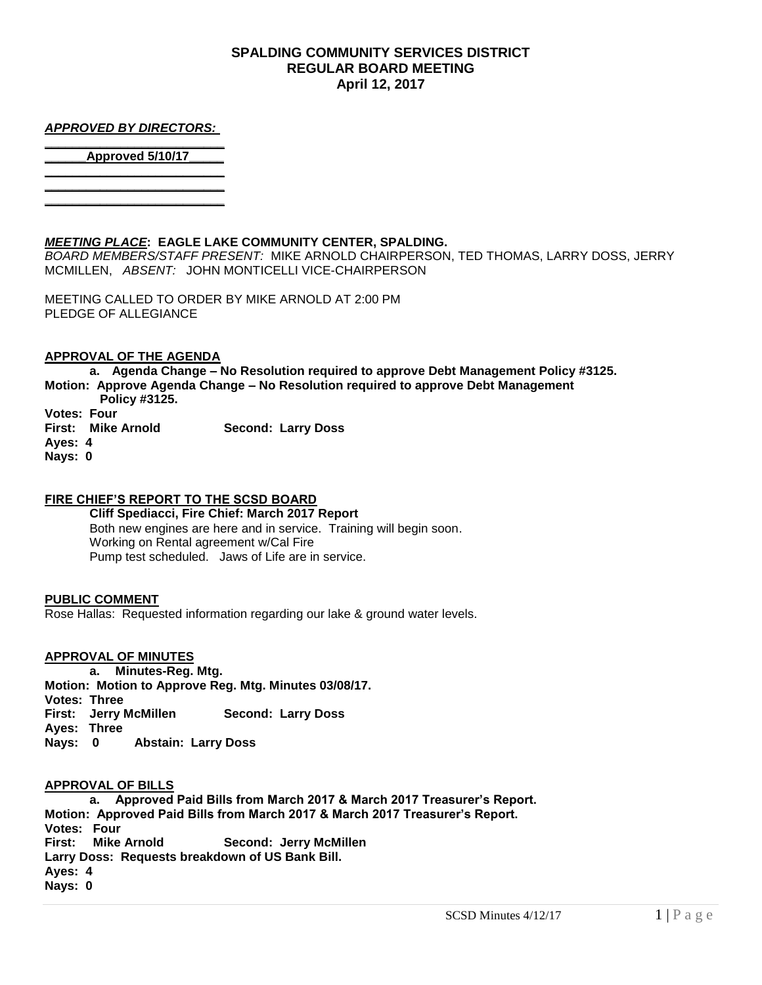## **SPALDING COMMUNITY SERVICES DISTRICT REGULAR BOARD MEETING April 12, 2017**

#### *APPROVED BY DIRECTORS:*  **\_\_\_\_\_\_\_\_\_\_\_\_\_\_\_\_\_\_\_\_\_\_\_\_\_\_**

**\_\_\_\_\_\_\_\_\_\_\_\_\_\_\_\_\_\_\_\_\_\_\_\_\_\_ \_\_\_\_\_\_\_\_\_\_\_\_\_\_\_\_\_\_\_\_\_\_\_\_\_\_**

**\_\_\_\_\_\_Approved 5/10/17\_\_\_\_\_ \_\_\_\_\_\_\_\_\_\_\_\_\_\_\_\_\_\_\_\_\_\_\_\_\_\_**

## *MEETING PLACE***: EAGLE LAKE COMMUNITY CENTER, SPALDING.**

*BOARD MEMBERS/STAFF PRESENT:* MIKE ARNOLD CHAIRPERSON, TED THOMAS, LARRY DOSS, JERRY MCMILLEN, *ABSENT:* JOHN MONTICELLI VICE-CHAIRPERSON

MEETING CALLED TO ORDER BY MIKE ARNOLD AT 2:00 PM PLEDGE OF ALLEGIANCE

## **APPROVAL OF THE AGENDA**

**a. Agenda Change – No Resolution required to approve Debt Management Policy #3125. Motion: Approve Agenda Change – No Resolution required to approve Debt Management** 

- **Policy #3125.**
- **Votes: Four**

**First: Mike Arnold Second: Larry Doss**

- **Ayes: 4**
- **Nays: 0**

## **FIRE CHIEF'S REPORT TO THE SCSD BOARD**

**Cliff Spediacci, Fire Chief: March 2017 Report** Both new engines are here and in service. Training will begin soon. Working on Rental agreement w/Cal Fire Pump test scheduled. Jaws of Life are in service.

#### **PUBLIC COMMENT**

Rose Hallas: Requested information regarding our lake & ground water levels.

## **APPROVAL OF MINUTES**

**a. Minutes-Reg. Mtg. Motion: Motion to Approve Reg. Mtg. Minutes 03/08/17. Votes: Three First: Jerry McMillen Second: Larry Doss Ayes: Three Nays: 0 Abstain: Larry Doss**

#### **APPROVAL OF BILLS**

**a. Approved Paid Bills from March 2017 & March 2017 Treasurer's Report. Motion: Approved Paid Bills from March 2017 & March 2017 Treasurer's Report. Votes: Four First: Mike Arnold Second: Jerry McMillen Larry Doss: Requests breakdown of US Bank Bill. Ayes: 4 Nays: 0**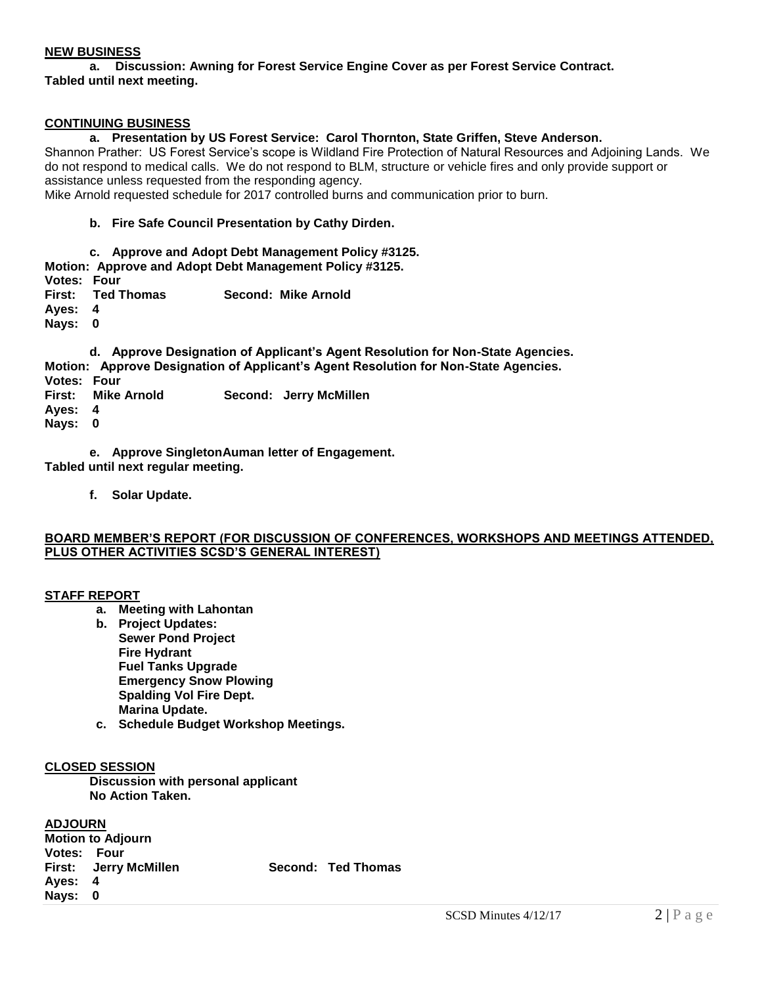## **NEW BUSINESS**

**a. Discussion: Awning for Forest Service Engine Cover as per Forest Service Contract. Tabled until next meeting.**

## **CONTINUING BUSINESS**

## **a. Presentation by US Forest Service: Carol Thornton, State Griffen, Steve Anderson.**

Shannon Prather: US Forest Service's scope is Wildland Fire Protection of Natural Resources and Adjoining Lands. We do not respond to medical calls. We do not respond to BLM, structure or vehicle fires and only provide support or assistance unless requested from the responding agency.

Mike Arnold requested schedule for 2017 controlled burns and communication prior to burn.

## **b. Fire Safe Council Presentation by Cathy Dirden.**

**c. Approve and Adopt Debt Management Policy #3125.**

**Motion: Approve and Adopt Debt Management Policy #3125.**

**Votes: Four First: Ted Thomas Second: Mike Arnold**

**Ayes: 4**

**Nays: 0**

**d. Approve Designation of Applicant's Agent Resolution for Non-State Agencies. Motion: Approve Designation of Applicant's Agent Resolution for Non-State Agencies.**

**Votes: Four**

- **First: Mike Arnold Second: Jerry McMillen**
- **Ayes: 4**

**Nays: 0**

**e. Approve SingletonAuman letter of Engagement. Tabled until next regular meeting.**

**f. Solar Update.**

#### **BOARD MEMBER'S REPORT (FOR DISCUSSION OF CONFERENCES, WORKSHOPS AND MEETINGS ATTENDED, PLUS OTHER ACTIVITIES SCSD'S GENERAL INTEREST)**

#### **STAFF REPORT**

- **a. Meeting with Lahontan**
- **b. Project Updates: Sewer Pond Project Fire Hydrant Fuel Tanks Upgrade Emergency Snow Plowing Spalding Vol Fire Dept. Marina Update.**
- **c. Schedule Budget Workshop Meetings.**

## **CLOSED SESSION**

**Discussion with personal applicant No Action Taken.**

# **ADJOURN**

| <b>Motion to Adjourn</b> |                              |  |                    |
|--------------------------|------------------------------|--|--------------------|
| Votes: Four              |                              |  |                    |
|                          | <b>First: Jerry McMillen</b> |  | Second: Ted Thomas |
| Ayes: 4                  |                              |  |                    |
| Nays: 0                  |                              |  |                    |